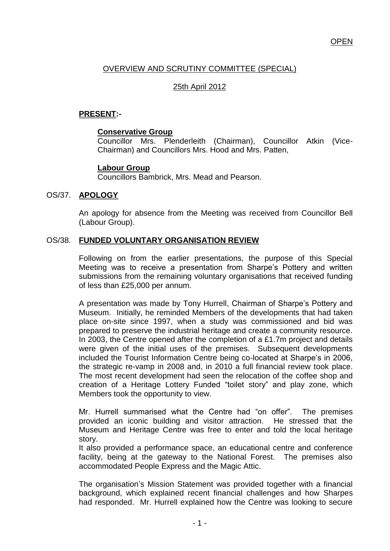## **OPEN**

# OVERVIEW AND SCRUTINY COMMITTEE (SPECIAL)

# 25th April 2012

# **PRESENT:-**

#### **Conservative Group**

Councillor Mrs. Plenderleith (Chairman), Councillor Atkin (Vice-Chairman) and Councillors Mrs. Hood and Mrs. Patten,

### **Labour Group**

Councillors Bambrick, Mrs. Mead and Pearson.

#### OS/37. **APOLOGY**

An apology for absence from the Meeting was received from Councillor Bell (Labour Group).

#### OS/38. **FUNDED VOLUNTARY ORGANISATION REVIEW**

Following on from the earlier presentations, the purpose of this Special Meeting was to receive a presentation from Sharpe"s Pottery and written submissions from the remaining voluntary organisations that received funding of less than £25,000 per annum.

A presentation was made by Tony Hurrell, Chairman of Sharpe"s Pottery and Museum. Initially, he reminded Members of the developments that had taken place on-site since 1997, when a study was commissioned and bid was prepared to preserve the industrial heritage and create a community resource. In 2003, the Centre opened after the completion of a £1.7m project and details were given of the initial uses of the premises. Subsequent developments included the Tourist Information Centre being co-located at Sharpe's in 2006, the strategic re-vamp in 2008 and, in 2010 a full financial review took place. The most recent development had seen the relocation of the coffee shop and creation of a Heritage Lottery Funded "toilet story" and play zone, which Members took the opportunity to view.

Mr. Hurrell summarised what the Centre had "on offer". The premises provided an iconic building and visitor attraction. He stressed that the Museum and Heritage Centre was free to enter and told the local heritage story.

It also provided a performance space, an educational centre and conference facility, being at the gateway to the National Forest. The premises also accommodated People Express and the Magic Attic.

The organisation"s Mission Statement was provided together with a financial background, which explained recent financial challenges and how Sharpes had responded. Mr. Hurrell explained how the Centre was looking to secure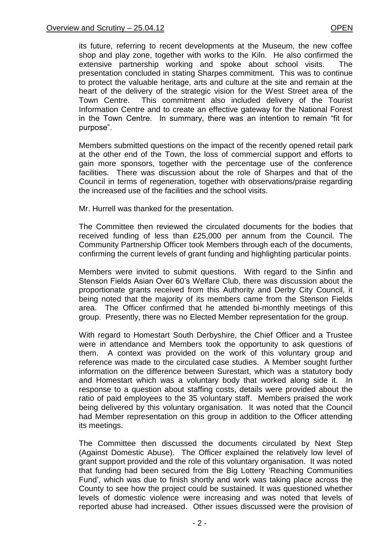its future, referring to recent developments at the Museum, the new coffee shop and play zone, together with works to the Kiln. He also confirmed the extensive partnership working and spoke about school visits. The presentation concluded in stating Sharpes commitment. This was to continue to protect the valuable heritage, arts and culture at the site and remain at the heart of the delivery of the strategic vision for the West Street area of the Town Centre. This commitment also included delivery of the Tourist Information Centre and to create an effective gateway for the National Forest in the Town Centre. In summary, there was an intention to remain "fit for purpose".

Members submitted questions on the impact of the recently opened retail park at the other end of the Town, the loss of commercial support and efforts to gain more sponsors, together with the percentage use of the conference facilities. There was discussion about the role of Sharpes and that of the Council in terms of regeneration, together with observations/praise regarding the increased use of the facilities and the school visits.

Mr. Hurrell was thanked for the presentation.

The Committee then reviewed the circulated documents for the bodies that received funding of less than £25,000 per annum from the Council. The Community Partnership Officer took Members through each of the documents, confirming the current levels of grant funding and highlighting particular points.

Members were invited to submit questions. With regard to the Sinfin and Stenson Fields Asian Over 60"s Welfare Club, there was discussion about the proportionate grants received from this Authority and Derby City Council, it being noted that the majority of its members came from the Stenson Fields area. The Officer confirmed that he attended bi-monthly meetings of this group. Presently, there was no Elected Member representation for the group.

With regard to Homestart South Derbyshire, the Chief Officer and a Trustee were in attendance and Members took the opportunity to ask questions of them. A context was provided on the work of this voluntary group and reference was made to the circulated case studies. A Member sought further information on the difference between Surestart, which was a statutory body and Homestart which was a voluntary body that worked along side it. In response to a question about staffing costs, details were provided about the ratio of paid employees to the 35 voluntary staff. Members praised the work being delivered by this voluntary organisation. It was noted that the Council had Member representation on this group in addition to the Officer attending its meetings.

The Committee then discussed the documents circulated by Next Step (Against Domestic Abuse). The Officer explained the relatively low level of grant support provided and the role of this voluntary organisation. It was noted that funding had been secured from the Big Lottery "Reaching Communities Fund", which was due to finish shortly and work was taking place across the County to see how the project could be sustained. It was questioned whether levels of domestic violence were increasing and was noted that levels of reported abuse had increased. Other issues discussed were the provision of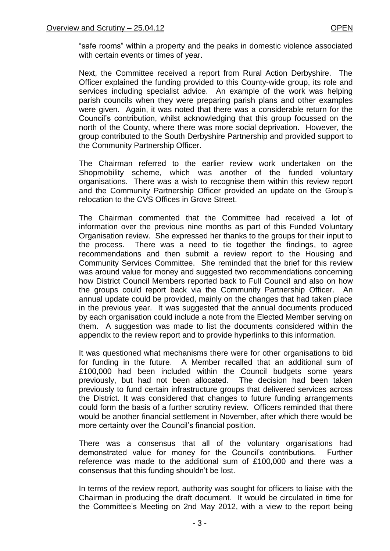"safe rooms" within a property and the peaks in domestic violence associated with certain events or times of year.

Next, the Committee received a report from Rural Action Derbyshire. The Officer explained the funding provided to this County-wide group, its role and services including specialist advice. An example of the work was helping parish councils when they were preparing parish plans and other examples were given. Again, it was noted that there was a considerable return for the Council"s contribution, whilst acknowledging that this group focussed on the north of the County, where there was more social deprivation. However, the group contributed to the South Derbyshire Partnership and provided support to the Community Partnership Officer.

The Chairman referred to the earlier review work undertaken on the Shopmobility scheme, which was another of the funded voluntary organisations. There was a wish to recognise them within this review report and the Community Partnership Officer provided an update on the Group"s relocation to the CVS Offices in Grove Street.

The Chairman commented that the Committee had received a lot of information over the previous nine months as part of this Funded Voluntary Organisation review. She expressed her thanks to the groups for their input to the process. There was a need to tie together the findings, to agree recommendations and then submit a review report to the Housing and Community Services Committee. She reminded that the brief for this review was around value for money and suggested two recommendations concerning how District Council Members reported back to Full Council and also on how the groups could report back via the Community Partnership Officer. An annual update could be provided, mainly on the changes that had taken place in the previous year. It was suggested that the annual documents produced by each organisation could include a note from the Elected Member serving on them. A suggestion was made to list the documents considered within the appendix to the review report and to provide hyperlinks to this information.

It was questioned what mechanisms there were for other organisations to bid for funding in the future. A Member recalled that an additional sum of £100,000 had been included within the Council budgets some years previously, but had not been allocated. The decision had been taken previously to fund certain infrastructure groups that delivered services across the District. It was considered that changes to future funding arrangements could form the basis of a further scrutiny review. Officers reminded that there would be another financial settlement in November, after which there would be more certainty over the Council"s financial position.

There was a consensus that all of the voluntary organisations had demonstrated value for money for the Council"s contributions. Further reference was made to the additional sum of £100,000 and there was a consensus that this funding shouldn"t be lost.

In terms of the review report, authority was sought for officers to liaise with the Chairman in producing the draft document. It would be circulated in time for the Committee"s Meeting on 2nd May 2012, with a view to the report being